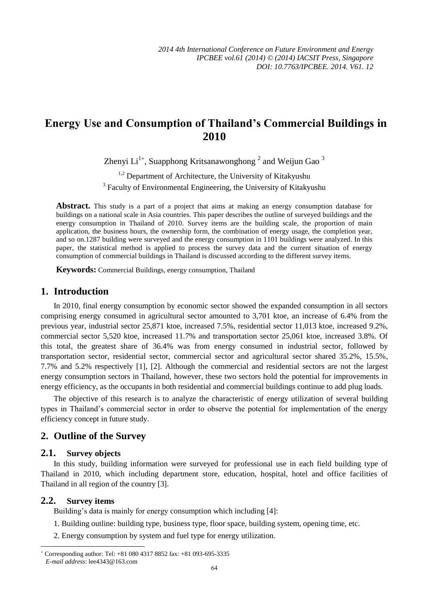# **Energy Use and Consumption of Thailand's Commercial Buildings in 2010**

Zhenyi Li $^{1+}$ , Suapphong Kritsanawonghong  $^2$  and Weijun Gao  $^3$ 

<sup>1,2</sup> Department of Architecture, the University of Kitakyushu <sup>3</sup> Faculty of Environmental Engineering, the University of Kitakyushu

**Abstract.** This study is a part of a project that aims at making an energy consumption database for buildings on a national scale in Asia countries. This paper describes the outline of surveyed buildings and the energy consumption in Thailand of 2010. Survey items are the building scale, the proportion of main application, the business hours, the ownership form, the combination of energy usage, the completion year, and so on.1287 building were surveyed and the energy consumption in 1101 buildings were analyzed. In this paper, the statistical method is applied to process the survey data and the current situation of energy consumption of commercial buildings in Thailand is discussed according to the different survey items.

**Keywords:** Commercial Buildings, energy consumption, Thailand

### **1. Introduction**

In 2010, final energy consumption by economic sector showed the expanded consumption in all sectors comprising energy consumed in agricultural sector amounted to 3,701 ktoe, an increase of 6.4% from the previous year, industrial sector 25,871 ktoe, increased 7.5%, residential sector 11,013 ktoe, increased 9.2%, commercial sector 5,520 ktoe, increased 11.7% and transportation sector 25,061 ktoe, increased 3.8%. Of this total, the greatest share of 36.4% was from energy consumed in industrial sector, followed by transportation sector, residential sector, commercial sector and agricultural sector shared 35.2%, 15.5%, 7.7% and 5.2% respectively [1], [2]. Although the commercial and residential sectors are not the largest energy consumption sectors in Thailand, however, these two sectors hold the potential for improvements in energy efficiency, as the occupants in both residential and commercial buildings continue to add plug loads.

The objective of this research is to analyze the characteristic of energy utilization of several building types in Thailand's commercial sector in order to observe the potential for implementation of the energy efficiency concept in future study.

### **2. Outline of the Survey**

#### **2.1. Survey objects**

In this study, building information were surveyed for professional use in each field building type of Thailand in 2010, which including department store, education, hospital, hotel and office facilities of Thailand in all region of the country [3].

#### **2.2. Survey items**

1

Building's data is mainly for energy consumption which including [4]:

- 1. Building outline: building type, business type, floor space, building system, opening time, etc.
- 2. Energy consumption by system and fuel type for energy utilization.

 $\overline{+}$  Corresponding author: Tel: +81 080 4317 8852 fax: +81 093-695-3335 *E-mail address*: lee4343@163.com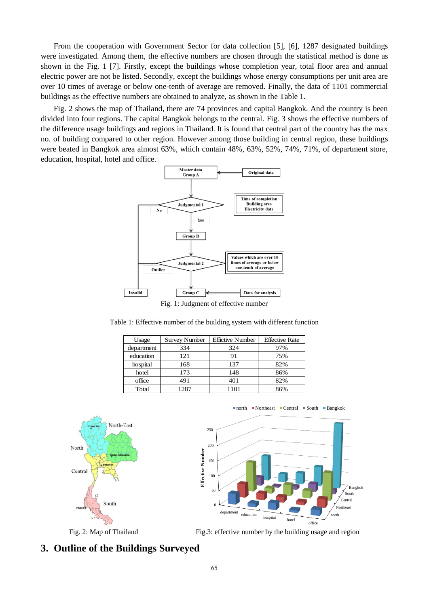From the cooperation with Government Sector for data collection [5], [6], 1287 designated buildings were investigated. Among them, the effective numbers are chosen through the statistical method is done as shown in the Fig. 1 [7]. Firstly, except the buildings whose completion year, total floor area and annual electric power are not be listed. Secondly, except the buildings whose energy consumptions per unit area are over 10 times of average or below one-tenth of average are removed. Finally, the data of 1101 commercial buildings as the effective numbers are obtained to analyze, as shown in the Table 1.

Fig. 2 shows the map of Thailand, there are 74 provinces and capital Bangkok. And the country is been divided into four regions. The capital Bangkok belongs to the central. Fig. 3 shows the effective numbers of the difference usage buildings and regions in Thailand. It is found that central part of the country has the max no. of building compared to other region. However among those building in central region, these buildings were beated in Bangkok area almost 63%, which contain 48%, 63%, 52%, 74%, 71%, of department store, education, hospital, hotel and office.



Table 1: Effective number of the building system with different function

| Usage      | <b>Survey Number</b> | <b>Effictive Number</b> | <b>Effective Rate</b> |
|------------|----------------------|-------------------------|-----------------------|
| department | 334                  | 324                     | 97%                   |
| education  | 121                  | 91                      | 75%                   |
| hospital   | 168                  | 137                     | 82%                   |
| hotel      | 173                  | 148                     | 86%                   |
| office     | 491                  | 401                     | 82%                   |
| Total      | 1287                 | 1101                    | 86%                   |



north Northeast Central South Bangkok

North

Fig. 2: Map of Thailand Fig.3: effective number by the building usage and region

### **3. Outline of the Buildings Surveyed**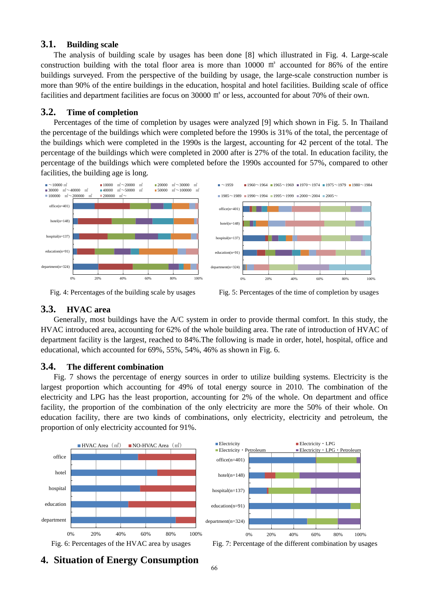#### **3.1. Building scale**

The analysis of building scale by usages has been done [8] which illustrated in Fig. 4. Large-scale construction building with the total floor area is more than 10000 ㎡ accounted for 86% of the entire buildings surveyed. From the perspective of the building by usage, the large-scale construction number is more than 90% of the entire buildings in the education, hospital and hotel facilities. Building scale of office facilities and department facilities are focus on 30000 m<sup>2</sup> or less, accounted for about 70% of their own.

### **3.2. Time of completion**

Percentages of the time of completion by usages were analyzed [9] which shown in Fig. 5. In Thailand the percentage of the buildings which were completed before the 1990s is 31% of the total, the percentage of the buildings which were completed in the 1990s is the largest, accounting for 42 percent of the total. The percentage of the buildings which were completed in 2000 after is 27% of the total. In education facility, the percentage of the buildings which were completed before the 1990s accounted for 57%, compared to other facilities, the building age is long.





### **3.3. HVAC area**

Generally, most buildings have the A/C system in order to provide thermal comfort. In this study, the HVAC introduced area, accounting for 62% of the whole building area. The rate of introduction of HVAC of department facility is the largest, reached to 84%.The following is made in order, hotel, hospital, office and educational, which accounted for 69%, 55%, 54%, 46% as shown in Fig. 6.

### **3.4. The different combination**

Fig. 7 shows the percentage of energy sources in order to utilize building systems. Electricity is the largest proportion which accounting for 49% of total energy source in 2010. The combination of the electricity and LPG has the least proportion, accounting for 2% of the whole. On department and office facility, the proportion of the combination of the only electricity are more the 50% of their whole. On education facility, there are two kinds of combinations, only electricity, electricity and petroleum, the proportion of only electricity accounted for 91%.



Fig. 6: Percentages of the HVAC area by usages Fig. 7: Percentage of the different combination by usages

**4. Situation of Energy Consumption**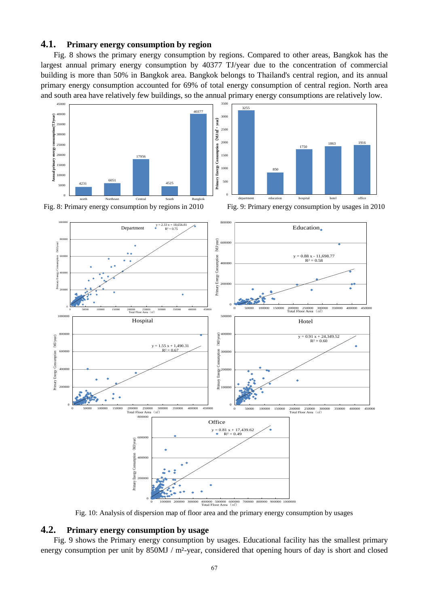#### **4.1. Primary energy consumption by region**

Fig. 8 shows the primary energy consumption by regions. Compared to other areas, Bangkok has the largest annual primary energy consumption by 40377 TJ/year due to the concentration of commercial building is more than 50% in Bangkok area. Bangkok belongs to Thailand's central region, and its annual primary energy consumption accounted for 69% of total energy consumption of central region. North area and south area have relatively few buildings, so the annual primary energy consumptions are relatively low.





Fig. 8: Primary energy consumption by regions in 2010 Fig. 9: Primary energy consumption by usages in 2010



Fig. 10: Analysis of dispersion map of floor area and the primary energy consumption by usages

### **4.2. Primary energy consumption by usage**

Fig. 9 shows the Primary energy consumption by usages. Educational facility has the smallest primary energy consumption per unit by 850MJ / m<sup>2</sup>year, considered that opening hours of day is short and closed